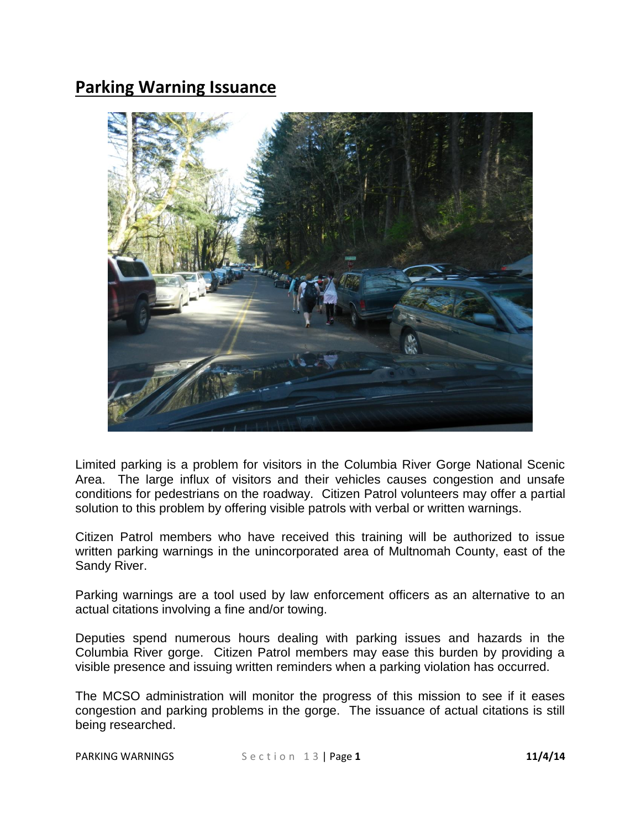## **Parking Warning Issuance**



Limited parking is a problem for visitors in the Columbia River Gorge National Scenic Area. The large influx of visitors and their vehicles causes congestion and unsafe conditions for pedestrians on the roadway. Citizen Patrol volunteers may offer a partial solution to this problem by offering visible patrols with verbal or written warnings.

Citizen Patrol members who have received this training will be authorized to issue written parking warnings in the unincorporated area of Multnomah County, east of the Sandy River.

Parking warnings are a tool used by law enforcement officers as an alternative to an actual citations involving a fine and/or towing.

Deputies spend numerous hours dealing with parking issues and hazards in the Columbia River gorge. Citizen Patrol members may ease this burden by providing a visible presence and issuing written reminders when a parking violation has occurred.

The MCSO administration will monitor the progress of this mission to see if it eases congestion and parking problems in the gorge. The issuance of actual citations is still being researched.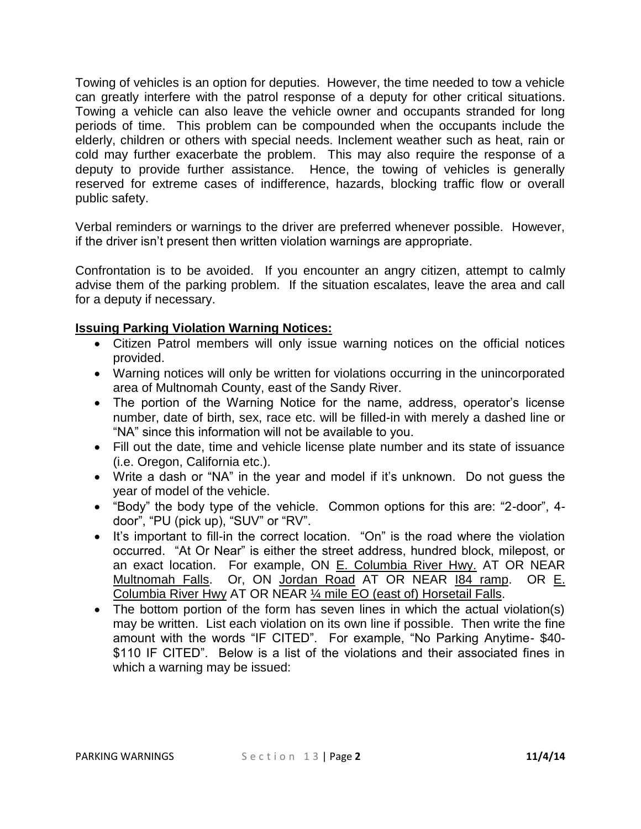Towing of vehicles is an option for deputies. However, the time needed to tow a vehicle can greatly interfere with the patrol response of a deputy for other critical situations. Towing a vehicle can also leave the vehicle owner and occupants stranded for long periods of time. This problem can be compounded when the occupants include the elderly, children or others with special needs. Inclement weather such as heat, rain or cold may further exacerbate the problem. This may also require the response of a deputy to provide further assistance. Hence, the towing of vehicles is generally reserved for extreme cases of indifference, hazards, blocking traffic flow or overall public safety.

Verbal reminders or warnings to the driver are preferred whenever possible. However, if the driver isn't present then written violation warnings are appropriate.

Confrontation is to be avoided. If you encounter an angry citizen, attempt to calmly advise them of the parking problem. If the situation escalates, leave the area and call for a deputy if necessary.

## **Issuing Parking Violation Warning Notices:**

- Citizen Patrol members will only issue warning notices on the official notices provided.
- Warning notices will only be written for violations occurring in the unincorporated area of Multnomah County, east of the Sandy River.
- The portion of the Warning Notice for the name, address, operator's license number, date of birth, sex, race etc. will be filled-in with merely a dashed line or "NA" since this information will not be available to you.
- Fill out the date, time and vehicle license plate number and its state of issuance (i.e. Oregon, California etc.).
- Write a dash or "NA" in the year and model if it's unknown. Do not guess the year of model of the vehicle.
- "Body" the body type of the vehicle. Common options for this are: "2-door", 4 door", "PU (pick up), "SUV" or "RV".
- It's important to fill-in the correct location. "On" is the road where the violation occurred. "At Or Near" is either the street address, hundred block, milepost, or an exact location. For example, ON E. Columbia River Hwy. AT OR NEAR Multnomah Falls. Or, ON Jordan Road AT OR NEAR 184 ramp. OR E. Columbia River Hwy AT OR NEAR ¼ mile EO (east of) Horsetail Falls.
- The bottom portion of the form has seven lines in which the actual violation(s) may be written. List each violation on its own line if possible. Then write the fine amount with the words "IF CITED". For example, "No Parking Anytime- \$40- \$110 IF CITED". Below is a list of the violations and their associated fines in which a warning may be issued: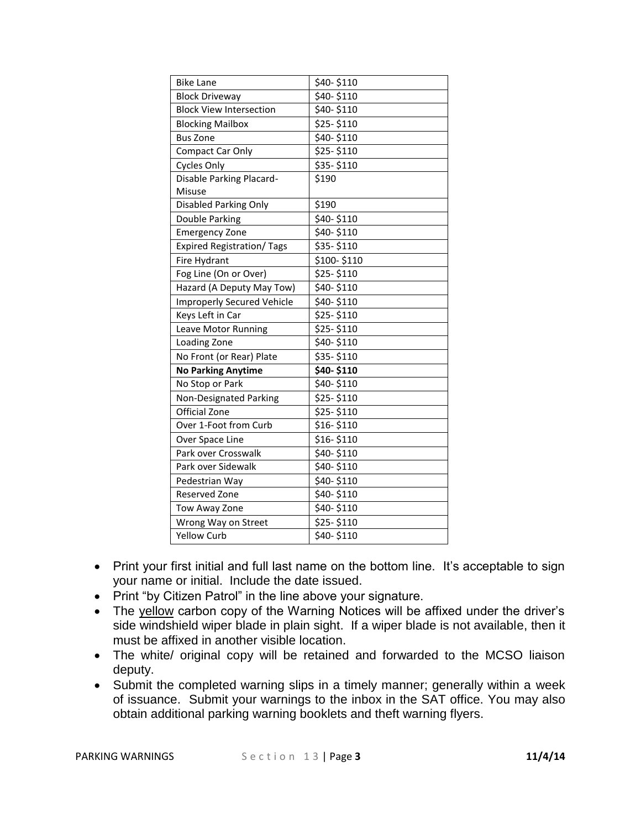| <b>Bike Lane</b>                  | \$40-\$110  |
|-----------------------------------|-------------|
| <b>Block Driveway</b>             | \$40-\$110  |
| <b>Block View Intersection</b>    | \$40-\$110  |
| <b>Blocking Mailbox</b>           | \$25-\$110  |
| <b>Bus Zone</b>                   | \$40-\$110  |
| Compact Car Only                  | \$25-\$110  |
| <b>Cycles Only</b>                | \$35-\$110  |
| Disable Parking Placard-          | \$190       |
| Misuse                            |             |
| Disabled Parking Only             | \$190       |
| Double Parking                    | \$40-\$110  |
| <b>Emergency Zone</b>             | \$40-\$110  |
| <b>Expired Registration/ Tags</b> | \$35-\$110  |
| Fire Hydrant                      | \$100-\$110 |
| Fog Line (On or Over)             | \$25-\$110  |
| Hazard (A Deputy May Tow)         | \$40-\$110  |
| <b>Improperly Secured Vehicle</b> | \$40-\$110  |
| Keys Left in Car                  | \$25-\$110  |
| Leave Motor Running               | \$25-\$110  |
| Loading Zone                      | \$40-\$110  |
| No Front (or Rear) Plate          | \$35-\$110  |
| <b>No Parking Anytime</b>         | \$40-\$110  |
| No Stop or Park                   | \$40-\$110  |
| Non-Designated Parking            | \$25-\$110  |
| Official Zone                     | \$25-\$110  |
| Over 1-Foot from Curb             | \$16-\$110  |
| Over Space Line                   | \$16-\$110  |
| Park over Crosswalk               | \$40-\$110  |
| Park over Sidewalk                | \$40-\$110  |
| Pedestrian Way                    | \$40-\$110  |
| Reserved Zone                     | \$40-\$110  |
| Tow Away Zone                     | \$40-\$110  |
| Wrong Way on Street               | \$25-\$110  |
| <b>Yellow Curb</b>                | \$40-\$110  |
|                                   |             |

- Print your first initial and full last name on the bottom line. It's acceptable to sign your name or initial. Include the date issued.
- Print "by Citizen Patrol" in the line above your signature.
- The yellow carbon copy of the Warning Notices will be affixed under the driver's side windshield wiper blade in plain sight. If a wiper blade is not available, then it must be affixed in another visible location.
- The white/ original copy will be retained and forwarded to the MCSO liaison deputy.
- Submit the completed warning slips in a timely manner; generally within a week of issuance. Submit your warnings to the inbox in the SAT office. You may also obtain additional parking warning booklets and theft warning flyers.